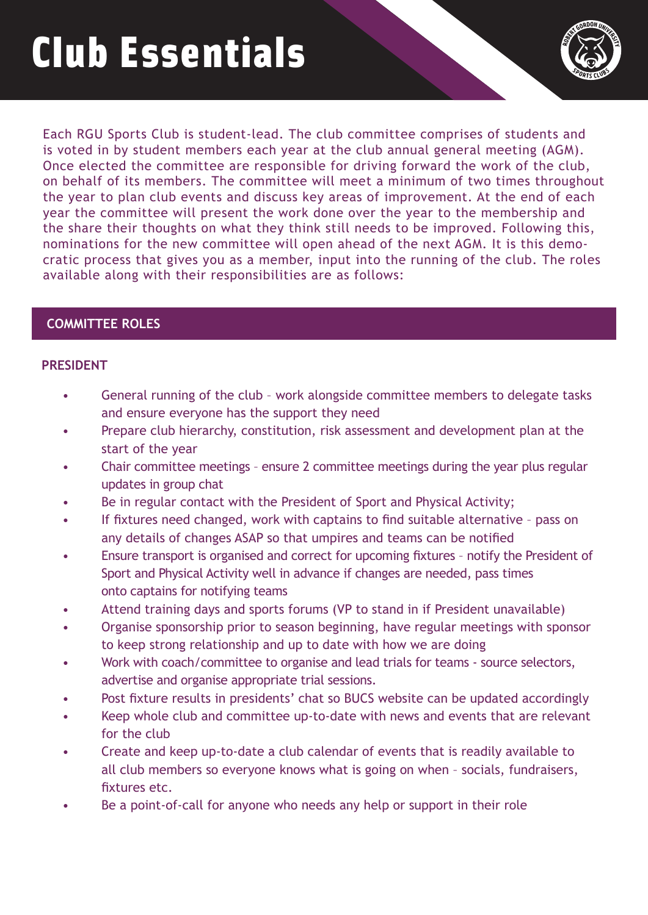# Club Essentials



Each RGU Sports Club is student-lead. The club committee comprises of students and is voted in by student members each year at the club annual general meeting (AGM). Once elected the committee are responsible for driving forward the work of the club, on behalf of its members. The committee will meet a minimum of two times throughout the year to plan club events and discuss key areas of improvement. At the end of each year the committee will present the work done over the year to the membership and the share their thoughts on what they think still needs to be improved. Following this, nominations for the new committee will open ahead of the next AGM. It is this democratic process that gives you as a member, input into the running of the club. The roles available along with their responsibilities are as follows:

# **COMMITTEE ROLES**

#### **PRESIDENT**

- General running of the club work alongside committee members to delegate tasks and ensure everyone has the support they need
- Prepare club hierarchy, constitution, risk assessment and development plan at the start of the year
- Chair committee meetings ensure 2 committee meetings during the year plus regular updates in group chat
- Be in regular contact with the President of Sport and Physical Activity;
- If fixtures need changed, work with captains to find suitable alternative pass on any details of changes ASAP so that umpires and teams can be notified
- Ensure transport is organised and correct for upcoming fixtures notify the President of Sport and Physical Activity well in advance if changes are needed, pass times onto captains for notifying teams
- Attend training days and sports forums (VP to stand in if President unavailable)
- Organise sponsorship prior to season beginning, have regular meetings with sponsor to keep strong relationship and up to date with how we are doing
- Work with coach/committee to organise and lead trials for teams source selectors, advertise and organise appropriate trial sessions.
- Post fixture results in presidents' chat so BUCS website can be updated accordingly
- Keep whole club and committee up-to-date with news and events that are relevant for the club
- Create and keep up-to-date a club calendar of events that is readily available to all club members so everyone knows what is going on when – socials, fundraisers, fixtures etc.
- Be a point-of-call for anyone who needs any help or support in their role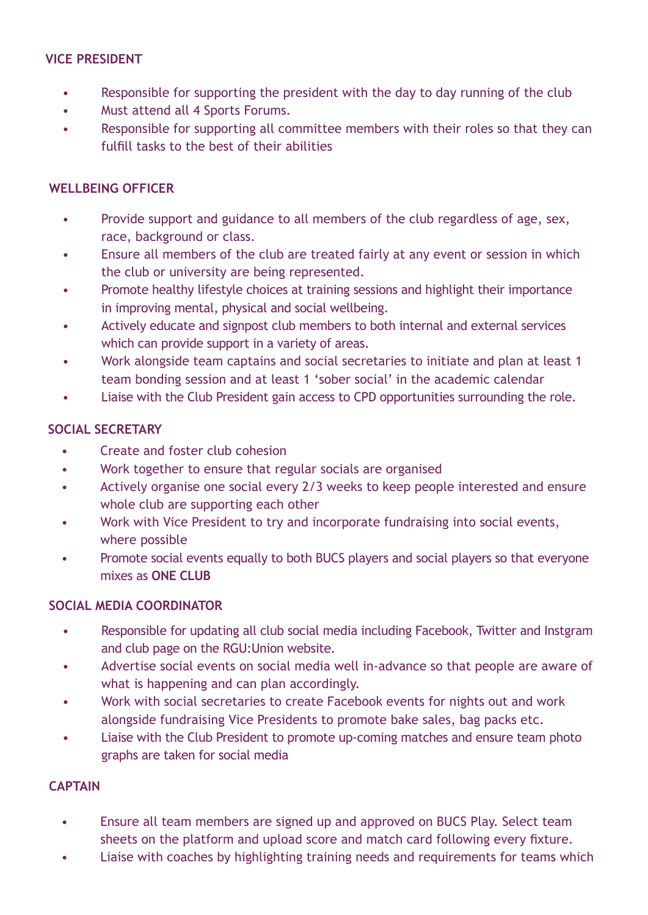#### **VICE PRESIDENT**

- Responsible for supporting the president with the day to day running of the club
- Must attend all 4 Sports Forums.
- Responsible for supporting all committee members with their roles so that they can fulfill tasks to the best of their abilities

### **WELLBEING OFFICER**

- Provide support and guidance to all members of the club regardless of age, sex, race, background or class.
- Ensure all members of the club are treated fairly at any event or session in which the club or university are being represented.
- Promote healthy lifestyle choices at training sessions and highlight their importance in improving mental, physical and social wellbeing.
- Actively educate and signpost club members to both internal and external services which can provide support in a variety of areas.
- Work alongside team captains and social secretaries to initiate and plan at least 1 team bonding session and at least 1 'sober social' in the academic calendar
- Liaise with the Club President gain access to CPD opportunities surrounding the role.

# **SOCIAL SECRETARY**

- Create and foster club cohesion
- Work together to ensure that regular socials are organised
- Actively organise one social every 2/3 weeks to keep people interested and ensure whole club are supporting each other
- Work with Vice President to try and incorporate fundraising into social events, where possible
- Promote social events equally to both BUCS players and social players so that everyone mixes as **ONE CLUB**

#### **SOCIAL MEDIA COORDINATOR**

- Responsible for updating all club social media including Facebook, Twitter and Instgram and club page on the RGU:Union website.
- Advertise social events on social media well in-advance so that people are aware of what is happening and can plan accordingly.
- Work with social secretaries to create Facebook events for nights out and work alongside fundraising Vice Presidents to promote bake sales, bag packs etc.
- Liaise with the Club President to promote up-coming matches and ensure team photo graphs are taken for social media

## **CAPTAIN**

- Ensure all team members are signed up and approved on BUCS Play. Select team sheets on the platform and upload score and match card following every fixture.
- Liaise with coaches by highlighting training needs and requirements for teams which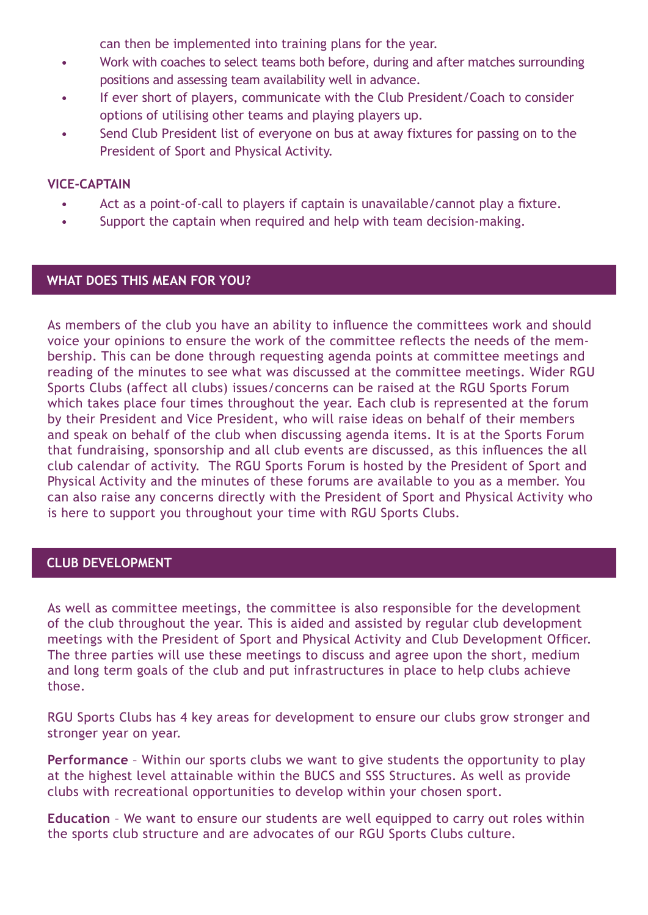can then be implemented into training plans for the year.

- Work with coaches to select teams both before, during and after matches surrounding positions and assessing team availability well in advance.
- If ever short of players, communicate with the Club President/Coach to consider options of utilising other teams and playing players up.
- Send Club President list of everyone on bus at away fixtures for passing on to the President of Sport and Physical Activity.

#### **VICE-CAPTAIN**

- Act as a point-of-call to players if captain is unavailable/cannot play a fixture.
- Support the captain when required and help with team decision-making.

# **WHAT DOES THIS MEAN FOR YOU?**

As members of the club you have an ability to influence the committees work and should voice your opinions to ensure the work of the committee reflects the needs of the membership. This can be done through requesting agenda points at committee meetings and reading of the minutes to see what was discussed at the committee meetings. Wider RGU Sports Clubs (affect all clubs) issues/concerns can be raised at the RGU Sports Forum which takes place four times throughout the year. Each club is represented at the forum by their President and Vice President, who will raise ideas on behalf of their members and speak on behalf of the club when discussing agenda items. It is at the Sports Forum that fundraising, sponsorship and all club events are discussed, as this influences the all club calendar of activity. The RGU Sports Forum is hosted by the President of Sport and Physical Activity and the minutes of these forums are available to you as a member. You can also raise any concerns directly with the President of Sport and Physical Activity who is here to support you throughout your time with RGU Sports Clubs.

#### **CLUB DEVELOPMENT**

As well as committee meetings, the committee is also responsible for the development of the club throughout the year. This is aided and assisted by regular club development meetings with the President of Sport and Physical Activity and Club Development Officer. The three parties will use these meetings to discuss and agree upon the short, medium and long term goals of the club and put infrastructures in place to help clubs achieve those.

RGU Sports Clubs has 4 key areas for development to ensure our clubs grow stronger and stronger year on year.

**Performance** – Within our sports clubs we want to give students the opportunity to play at the highest level attainable within the BUCS and SSS Structures. As well as provide clubs with recreational opportunities to develop within your chosen sport.

**Education** – We want to ensure our students are well equipped to carry out roles within the sports club structure and are advocates of our RGU Sports Clubs culture.